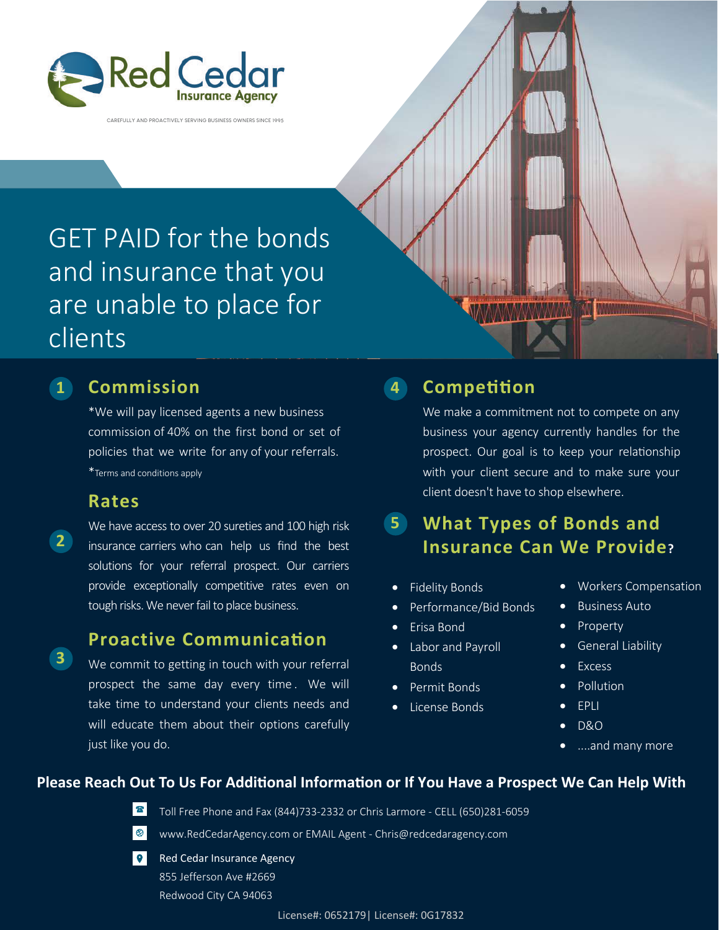

**CAREFULLY AND PROACTIVELY SERVING BUSINESS OWNERS SINCE 1995**

# GET PAID for the bonds and insurance that you are unable to place for clients

**2**

**3**

## **1 4 Commission**

\*We will pay licensed agents a new business commission of 40% on the first bond or set of policies that we write for any of your referrals. \*Terms and conditions apply

### **Rates**

We have access to over 20 sureties and 100 high risk insurance carriers who can help us find the best solutions for your referral prospect. Our carriers provide exceptionally competitive rates even on tough risks. We never fail to place business.

## **Proactive Communication**

We commit to getting in touch with your referral prospect the same day every time . We will take time to understand your clients needs and will educate them about their options carefully just like you do.

# **Competition**

We make a commitment not to compete on any business your agency currently handles for the prospect. Our goal is to keep your relationship with your client secure and to make sure your client doesn't have to shop elsewhere.

#### **What Types of Bonds and Insurance Can We Provide? 5**

- **Fidelity Bonds**
- Performance/Bid Bonds
- Erisa Bond
- Labor and Payroll Bonds
- Permit Bonds
- License Bonds
- Workers Compensation
- Business Auto
- Property
- General Liability
- **Excess**
- **Pollution**
- EPLI
- D&O
- ....and many more

#### **Please Reach Out To Us For Additional Information or If You Have a Prospect We Can Help With**

Toll Free Phone and Fax (844)733-2332 or Chris Larmore - CELL (650)281-6059



 $\bullet$ Red Cedar Insurance Agency 855 Jefferson Ave #2669 Redwood City CA 94063

 $\mathbb{Z}^n$